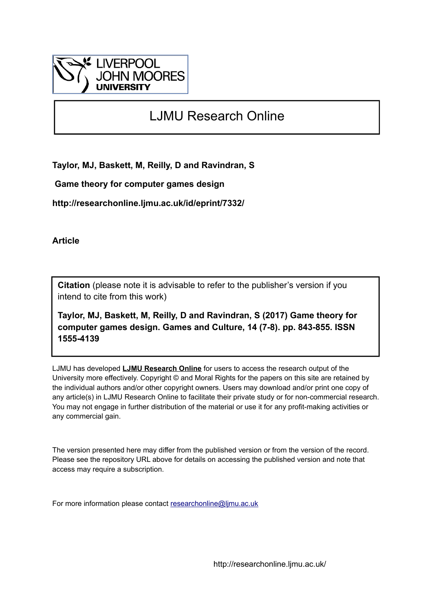

# LJMU Research Online

**Taylor, MJ, Baskett, M, Reilly, D and Ravindran, S**

 **Game theory for computer games design**

**http://researchonline.ljmu.ac.uk/id/eprint/7332/**

**Article**

**Citation** (please note it is advisable to refer to the publisher's version if you intend to cite from this work)

**Taylor, MJ, Baskett, M, Reilly, D and Ravindran, S (2017) Game theory for computer games design. Games and Culture, 14 (7-8). pp. 843-855. ISSN 1555-4139** 

LJMU has developed **[LJMU Research Online](http://researchonline.ljmu.ac.uk/)** for users to access the research output of the University more effectively. Copyright © and Moral Rights for the papers on this site are retained by the individual authors and/or other copyright owners. Users may download and/or print one copy of any article(s) in LJMU Research Online to facilitate their private study or for non-commercial research. You may not engage in further distribution of the material or use it for any profit-making activities or any commercial gain.

The version presented here may differ from the published version or from the version of the record. Please see the repository URL above for details on accessing the published version and note that access may require a subscription.

For more information please contact [researchonline@ljmu.ac.uk](mailto:researchonline@ljmu.ac.uk)

http://researchonline.ljmu.ac.uk/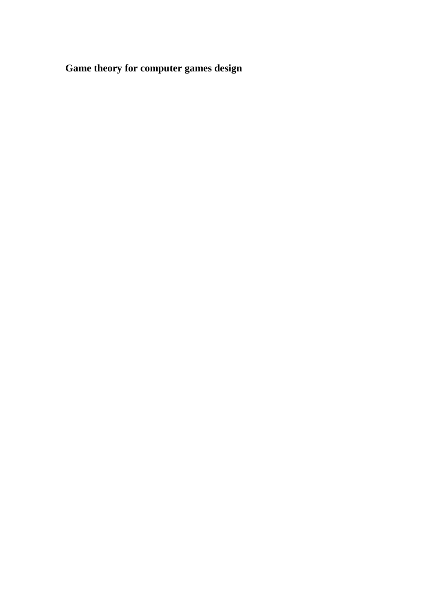**Game theory for computer games design**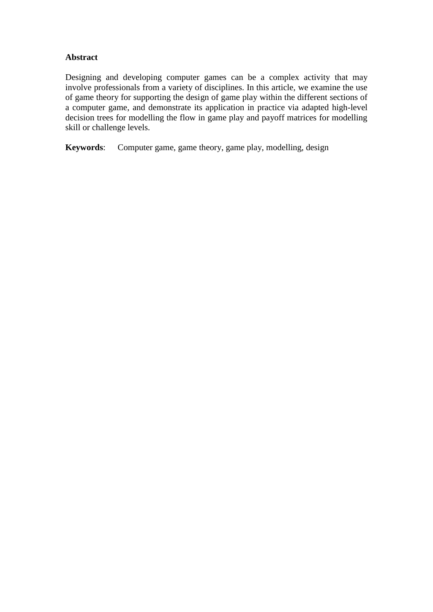# **Abstract**

Designing and developing computer games can be a complex activity that may involve professionals from a variety of disciplines. In this article, we examine the use of game theory for supporting the design of game play within the different sections of a computer game, and demonstrate its application in practice via adapted high-level decision trees for modelling the flow in game play and payoff matrices for modelling skill or challenge levels.

**Keywords**: Computer game, game theory, game play, modelling, design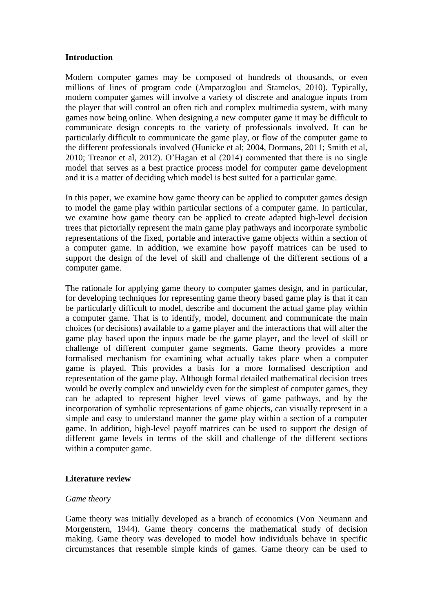## **Introduction**

Modern computer games may be composed of hundreds of thousands, or even millions of lines of program code (Ampatzoglou and Stamelos, 2010). Typically, modern computer games will involve a variety of discrete and analogue inputs from the player that will control an often rich and complex multimedia system, with many games now being online. When designing a new computer game it may be difficult to communicate design concepts to the variety of professionals involved. It can be particularly difficult to communicate the game play, or flow of the computer game to the different professionals involved (Hunicke et al; 2004, Dormans, 2011; Smith et al, 2010; Treanor et al, 2012). O'Hagan et al (2014) commented that there is no single model that serves as a best practice process model for computer game development and it is a matter of deciding which model is best suited for a particular game.

In this paper, we examine how game theory can be applied to computer games design to model the game play within particular sections of a computer game. In particular, we examine how game theory can be applied to create adapted high-level decision trees that pictorially represent the main game play pathways and incorporate symbolic representations of the fixed, portable and interactive game objects within a section of a computer game. In addition, we examine how payoff matrices can be used to support the design of the level of skill and challenge of the different sections of a computer game.

The rationale for applying game theory to computer games design, and in particular, for developing techniques for representing game theory based game play is that it can be particularly difficult to model, describe and document the actual game play within a computer game. That is to identify, model, document and communicate the main choices (or decisions) available to a game player and the interactions that will alter the game play based upon the inputs made be the game player, and the level of skill or challenge of different computer game segments. Game theory provides a more formalised mechanism for examining what actually takes place when a computer game is played. This provides a basis for a more formalised description and representation of the game play. Although formal detailed mathematical decision trees would be overly complex and unwieldy even for the simplest of computer games, they can be adapted to represent higher level views of game pathways, and by the incorporation of symbolic representations of game objects, can visually represent in a simple and easy to understand manner the game play within a section of a computer game. In addition, high-level payoff matrices can be used to support the design of different game levels in terms of the skill and challenge of the different sections within a computer game.

## **Literature review**

#### *Game theory*

Game theory was initially developed as a branch of economics (Von Neumann and Morgenstern, 1944). Game theory concerns the mathematical study of decision making. Game theory was developed to model how individuals behave in specific circumstances that resemble simple kinds of games. Game theory can be used to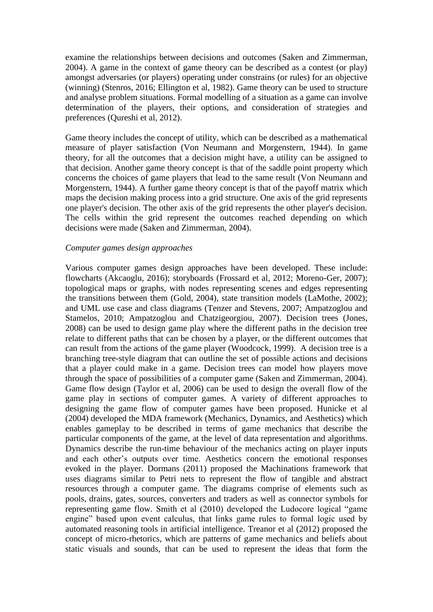examine the relationships between decisions and outcomes (Saken and Zimmerman, 2004). A game in the context of game theory can be described as a contest (or play) amongst adversaries (or players) operating under constrains (or rules) for an objective (winning) (Stenros, 2016; Ellington et al, 1982). Game theory can be used to structure and analyse problem situations. Formal modelling of a situation as a game can involve determination of the players, their options, and consideration of strategies and preferences (Qureshi et al, 2012).

Game theory includes the concept of utility*,* which can be described as a mathematical measure of player satisfaction (Von Neumann and Morgenstern, 1944). In game theory, for all the outcomes that a decision might have, a utility can be assigned to that decision. Another game theory concept is that of the saddle point property which concerns the choices of game players that lead to the same result (Von Neumann and Morgenstern, 1944). A further game theory concept is that of the payoff matrix which maps the decision making process into a grid structure. One axis of the grid represents one player's decision. The other axis of the grid represents the other player's decision. The cells within the grid represent the outcomes reached depending on which decisions were made (Saken and Zimmerman, 2004).

#### *Computer games design approaches*

Various computer games design approaches have been developed. These include: flowcharts (Akcaoglu, 2016); storyboards (Frossard et al, 2012; Moreno-Ger, 2007); topological maps or graphs, with nodes representing scenes and edges representing the transitions between them (Gold, 2004), state transition models (LaMothe, 2002); and UML use case and class diagrams (Tenzer and Stevens, 2007; Ampatzoglou and Stamelos, 2010; Ampatzoglou and Chatzigeorgiou, 2007). Decision trees (Jones, 2008) can be used to design game play where the different paths in the decision tree relate to different paths that can be chosen by a player, or the different outcomes that can result from the actions of the game player (Woodcock, 1999). A decision tree is a branching tree-style diagram that can outline the set of possible actions and decisions that a player could make in a game. Decision trees can model how players move through the space of possibilities of a computer game (Saken and Zimmerman, 2004). Game flow design (Taylor et al, 2006) can be used to design the overall flow of the game play in sections of computer games. A variety of different approaches to designing the game flow of computer games have been proposed. Hunicke et al (2004) developed the MDA framework (Mechanics, Dynamics, and Aesthetics) which enables gameplay to be described in terms of game mechanics that describe the particular components of the game, at the level of data representation and algorithms. Dynamics describe the run-time behaviour of the mechanics acting on player inputs and each other's outputs over time. Aesthetics concern the emotional responses evoked in the player. Dormans (2011) proposed the Machinations framework that uses diagrams similar to Petri nets to represent the flow of tangible and abstract resources through a computer game. The diagrams comprise of elements such as pools, drains, gates, sources, converters and traders as well as connector symbols for representing game flow. Smith et al (2010) developed the Ludocore logical "game engine" based upon event calculus, that links game rules to formal logic used by automated reasoning tools in artificial intelligence. Treanor et al (2012) proposed the concept of micro-rhetorics, which are patterns of game mechanics and beliefs about static visuals and sounds, that can be used to represent the ideas that form the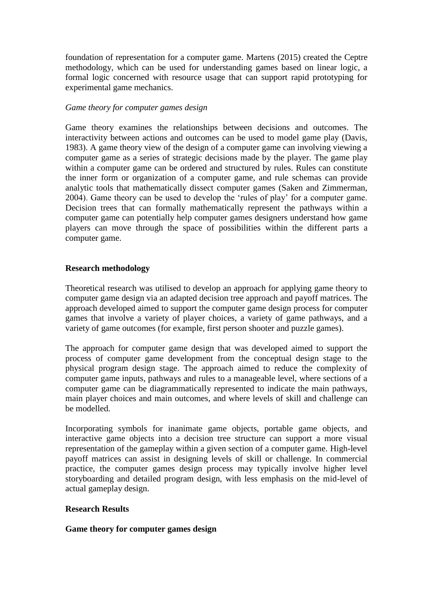foundation of representation for a computer game. Martens (2015) created the Ceptre methodology, which can be used for understanding games based on linear logic, a formal logic concerned with resource usage that can support rapid prototyping for experimental game mechanics.

## *Game theory for computer games design*

Game theory examines the relationships between decisions and outcomes. The interactivity between actions and outcomes can be used to model game play (Davis, 1983). A game theory view of the design of a computer game can involving viewing a computer game as a series of strategic decisions made by the player. The game play within a computer game can be ordered and structured by rules. Rules can constitute the inner form or organization of a computer game, and rule schemas can provide analytic tools that mathematically dissect computer games (Saken and Zimmerman, 2004). Game theory can be used to develop the 'rules of play' for a computer game. Decision trees that can formally mathematically represent the pathways within a computer game can potentially help computer games designers understand how game players can move through the space of possibilities within the different parts a computer game.

## **Research methodology**

Theoretical research was utilised to develop an approach for applying game theory to computer game design via an adapted decision tree approach and payoff matrices. The approach developed aimed to support the computer game design process for computer games that involve a variety of player choices, a variety of game pathways, and a variety of game outcomes (for example, first person shooter and puzzle games).

The approach for computer game design that was developed aimed to support the process of computer game development from the conceptual design stage to the physical program design stage. The approach aimed to reduce the complexity of computer game inputs, pathways and rules to a manageable level, where sections of a computer game can be diagrammatically represented to indicate the main pathways, main player choices and main outcomes, and where levels of skill and challenge can be modelled.

Incorporating symbols for inanimate game objects, portable game objects, and interactive game objects into a decision tree structure can support a more visual representation of the gameplay within a given section of a computer game. High-level payoff matrices can assist in designing levels of skill or challenge. In commercial practice, the computer games design process may typically involve higher level storyboarding and detailed program design, with less emphasis on the mid-level of actual gameplay design.

## **Research Results**

## **Game theory for computer games design**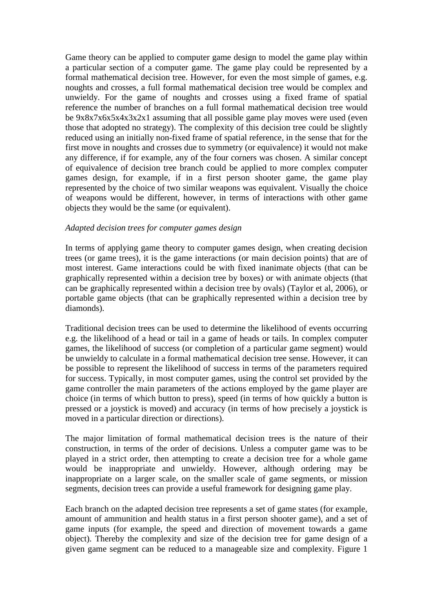Game theory can be applied to computer game design to model the game play within a particular section of a computer game. The game play could be represented by a formal mathematical decision tree. However, for even the most simple of games, e.g. noughts and crosses, a full formal mathematical decision tree would be complex and unwieldy. For the game of noughts and crosses using a fixed frame of spatial reference the number of branches on a full formal mathematical decision tree would be 9x8x7x6x5x4x3x2x1 assuming that all possible game play moves were used (even those that adopted no strategy). The complexity of this decision tree could be slightly reduced using an initially non-fixed frame of spatial reference, in the sense that for the first move in noughts and crosses due to symmetry (or equivalence) it would not make any difference, if for example, any of the four corners was chosen. A similar concept of equivalence of decision tree branch could be applied to more complex computer games design, for example, if in a first person shooter game, the game play represented by the choice of two similar weapons was equivalent. Visually the choice of weapons would be different, however, in terms of interactions with other game objects they would be the same (or equivalent).

#### *Adapted decision trees for computer games design*

In terms of applying game theory to computer games design, when creating decision trees (or game trees), it is the game interactions (or main decision points) that are of most interest. Game interactions could be with fixed inanimate objects (that can be graphically represented within a decision tree by boxes) or with animate objects (that can be graphically represented within a decision tree by ovals) (Taylor et al, 2006), or portable game objects (that can be graphically represented within a decision tree by diamonds).

Traditional decision trees can be used to determine the likelihood of events occurring e.g. the likelihood of a head or tail in a game of heads or tails. In complex computer games, the likelihood of success (or completion of a particular game segment) would be unwieldy to calculate in a formal mathematical decision tree sense. However, it can be possible to represent the likelihood of success in terms of the parameters required for success. Typically, in most computer games, using the control set provided by the game controller the main parameters of the actions employed by the game player are choice (in terms of which button to press), speed (in terms of how quickly a button is pressed or a joystick is moved) and accuracy (in terms of how precisely a joystick is moved in a particular direction or directions).

The major limitation of formal mathematical decision trees is the nature of their construction, in terms of the order of decisions. Unless a computer game was to be played in a strict order, then attempting to create a decision tree for a whole game would be inappropriate and unwieldy. However, although ordering may be inappropriate on a larger scale, on the smaller scale of game segments, or mission segments, decision trees can provide a useful framework for designing game play.

Each branch on the adapted decision tree represents a set of game states (for example, amount of ammunition and health status in a first person shooter game), and a set of game inputs (for example, the speed and direction of movement towards a game object). Thereby the complexity and size of the decision tree for game design of a given game segment can be reduced to a manageable size and complexity. Figure 1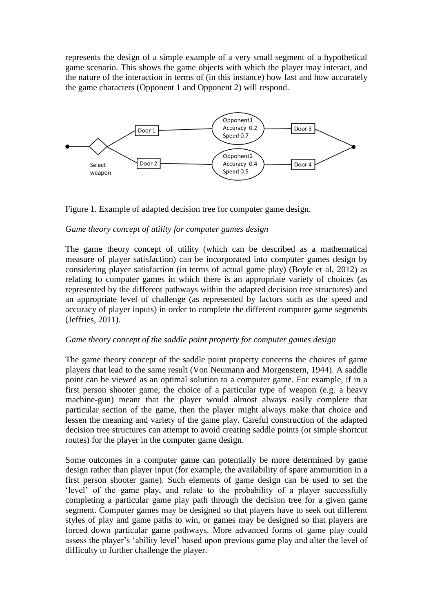represents the design of a simple example of a very small segment of a hypothetical game scenario. This shows the game objects with which the player may interact, and the nature of the interaction in terms of (in this instance) how fast and how accurately the game characters (Opponent 1 and Opponent 2) will respond.





## *Game theory concept of utility for computer games design*

The game theory concept of utility (which can be described as a mathematical measure of player satisfaction) can be incorporated into computer games design by considering player satisfaction (in terms of actual game play) (Boyle et al, 2012) as relating to computer games in which there is an appropriate variety of choices (as represented by the different pathways within the adapted decision tree structures) and an appropriate level of challenge (as represented by factors such as the speed and accuracy of player inputs) in order to complete the different computer game segments (Jeffries, 2011).

# *Game theory concept of the saddle point property for computer games design*

The game theory concept of the saddle point property concerns the choices of game players that lead to the same result (Von Neumann and Morgenstern, 1944). A saddle point can be viewed as an optimal solution to a computer game. For example, if in a first person shooter game, the choice of a particular type of weapon (e.g. a heavy machine-gun) meant that the player would almost always easily complete that particular section of the game, then the player might always make that choice and lessen the meaning and variety of the game play. Careful construction of the adapted decision tree structures can attempt to avoid creating saddle points (or simple shortcut routes) for the player in the computer game design.

Some outcomes in a computer game can potentially be more determined by game design rather than player input (for example, the availability of spare ammunition in a first person shooter game). Such elements of game design can be used to set the 'level' of the game play, and relate to the probability of a player successfully completing a particular game play path through the decision tree for a given game segment. Computer games may be designed so that players have to seek out different styles of play and game paths to win, or games may be designed so that players are forced down particular game pathways. More advanced forms of game play could assess the player's 'ability level' based upon previous game play and alter the level of difficulty to further challenge the player.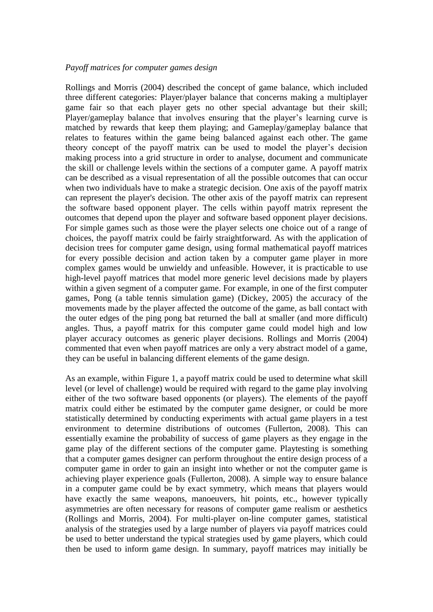#### *Payoff matrices for computer games design*

Rollings and Morris (2004) described the concept of game balance, which included three different categories: Player/player balance that concerns making a multiplayer game fair so that each player gets no other special advantage but their skill; Player/gameplay balance that involves ensuring that the player's learning curve is matched by rewards that keep them playing; and Gameplay/gameplay balance that relates to features within the game being balanced against each other. The game theory concept of the payoff matrix can be used to model the player's decision making process into a grid structure in order to analyse, document and communicate the skill or challenge levels within the sections of a computer game. A payoff matrix can be described as a visual representation of all the possible outcomes that can occur when two individuals have to make a strategic decision. One axis of the payoff matrix can represent the player's decision. The other axis of the payoff matrix can represent the software based opponent player. The cells within payoff matrix represent the outcomes that depend upon the player and software based opponent player decisions. For simple games such as those were the player selects one choice out of a range of choices, the payoff matrix could be fairly straightforward. As with the application of decision trees for computer game design, using formal mathematical payoff matrices for every possible decision and action taken by a computer game player in more complex games would be unwieldy and unfeasible. However, it is practicable to use high-level payoff matrices that model more generic level decisions made by players within a given segment of a computer game. For example, in one of the first computer games, Pong (a table tennis simulation game) (Dickey, 2005) the accuracy of the movements made by the player affected the outcome of the game, as ball contact with the outer edges of the ping pong bat returned the ball at smaller (and more difficult) angles. Thus, a payoff matrix for this computer game could model high and low player accuracy outcomes as generic player decisions. Rollings and Morris (2004) commented that even when payoff matrices are only a very abstract model of a game, they can be useful in balancing different elements of the game design.

As an example, within Figure 1, a payoff matrix could be used to determine what skill level (or level of challenge) would be required with regard to the game play involving either of the two software based opponents (or players). The elements of the payoff matrix could either be estimated by the computer game designer, or could be more statistically determined by conducting experiments with actual game players in a test environment to determine distributions of outcomes (Fullerton, 2008). This can essentially examine the probability of success of game players as they engage in the game play of the different sections of the computer game. Playtesting is something that a computer games designer can perform throughout the entire design process of a computer game in order to gain an insight into whether or not the computer game is achieving player experience goals (Fullerton, 2008). A simple way to ensure balance in a computer game could be by exact symmetry, which means that players would have exactly the same weapons, manoeuvers, hit points, etc., however typically asymmetries are often necessary for reasons of computer game realism or aesthetics (Rollings and Morris, 2004). For multi-player on-line computer games, statistical analysis of the strategies used by a large number of players via payoff matrices could be used to better understand the typical strategies used by game players, which could then be used to inform game design. In summary, payoff matrices may initially be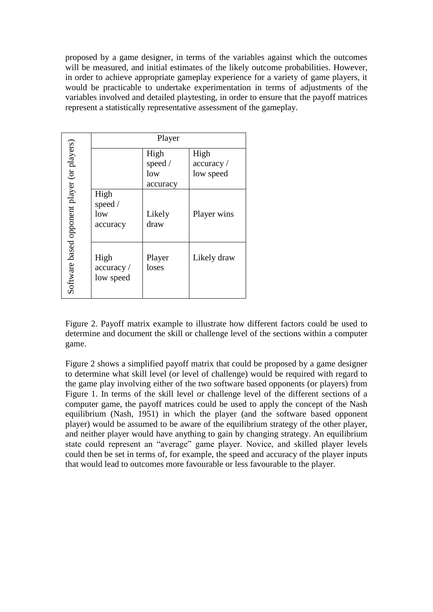proposed by a game designer, in terms of the variables against which the outcomes will be measured, and initial estimates of the likely outcome probabilities. However, in order to achieve appropriate gameplay experience for a variety of game players, it would be practicable to undertake experimentation in terms of adjustments of the variables involved and detailed playtesting, in order to ensure that the payoff matrices represent a statistically representative assessment of the gameplay.

|                                             | Player                         |                                    |                                |  |
|---------------------------------------------|--------------------------------|------------------------------------|--------------------------------|--|
| Software based opponent player (or players) | High                           | High<br>speed /<br>low<br>accuracy | High<br>accuracy/<br>low speed |  |
|                                             | speed /<br>low<br>accuracy     | Likely<br>draw                     | Player wins                    |  |
|                                             | High<br>accuracy/<br>low speed | Player<br>loses                    | Likely draw                    |  |

Figure 2. Payoff matrix example to illustrate how different factors could be used to determine and document the skill or challenge level of the sections within a computer game.

Figure 2 shows a simplified payoff matrix that could be proposed by a game designer to determine what skill level (or level of challenge) would be required with regard to the game play involving either of the two software based opponents (or players) from Figure 1. In terms of the skill level or challenge level of the different sections of a computer game, the payoff matrices could be used to apply the concept of the Nash equilibrium (Nash, 1951) in which the player (and the software based opponent player) would be assumed to be aware of the equilibrium strategy of the other player, and neither player would have anything to gain by changing strategy. An equilibrium state could represent an "average" game player. Novice, and skilled player levels could then be set in terms of, for example, the speed and accuracy of the player inputs that would lead to outcomes more favourable or less favourable to the player.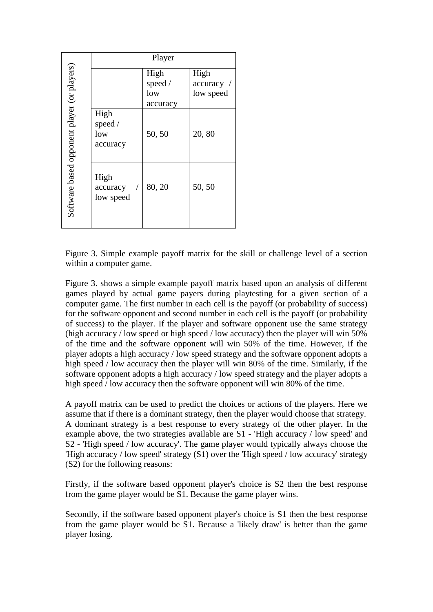|                                             | Player                             |                                    |                                 |  |
|---------------------------------------------|------------------------------------|------------------------------------|---------------------------------|--|
| Software based opponent player (or players) |                                    | High<br>speed /<br>low<br>accuracy | High<br>accuracy /<br>low speed |  |
|                                             | High<br>speed /<br>low<br>accuracy | 50, 50                             | 20,80                           |  |
|                                             | High<br>accuracy<br>low speed      | 80, 20                             | 50, 50                          |  |

Figure 3. Simple example payoff matrix for the skill or challenge level of a section within a computer game.

Figure 3 . shows a simple example payoff matrix based upon an analysis of different games played by actual game payers during playtesting for a given section of a computer game. The first number in each cell is the payoff (or probability of success) for the software opponent and second number in each cell is the payoff (or probability of success) to the player. If the player and software opponent use the same strategy (high accuracy / low speed or high speed / low accuracy) then the player will win 50% of the time and the software opponent will win 50% of the time. However, if the player adopts a high accuracy / low speed strategy and the software opponent adopts a high speed / low accuracy then the player will win 80% of the time. Similarly, if the software opponent adopts a high accuracy / low speed strategy and the player adopts a high speed / low accuracy then the software opponent will win 80% of the time.

A payoff matrix can be used to predict the choices or actions of the players. Here we assume that if there is a dominant strategy , then the player would choose that strategy. A dominant strategy is a best response to every strategy of the other player. In the example above, the two strategies available are S1 - 'High accuracy / low speed' and S2 - 'High speed / low accuracy'. The game player would typically always choose the 'High accuracy / low speed' strategy (S1) over the 'High speed / low accuracy' strategy (S2) for the following reasons:

Firstly, if the software based opponent player's choice is S2 then the best response from the game player would be S1. Because the game player wins.

Secondly, if the software based opponent player's choice is S1 then the best response from the game player would be S1. Because a 'likely draw' is better than the game player losing .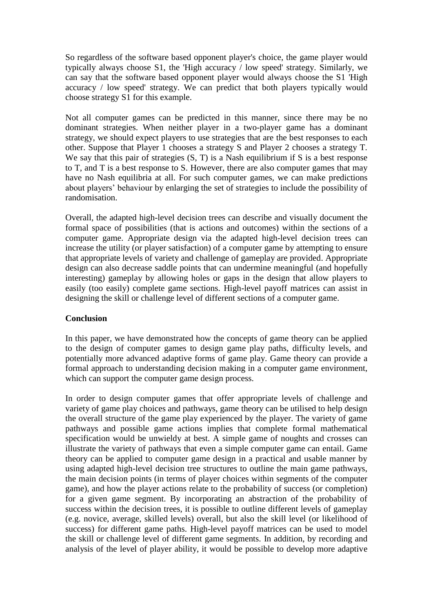So regardless of the software based opponent player's choice, the game player would typically always choose S1, the 'High accuracy / low speed' strategy. Similarly, we can say that the software based opponent player would always choose the S1 'High accuracy / low speed' strategy. We can predict that both players typically would choose strategy S1 for this example.

Not all computer games can be predicted in this manner, since there may be no dominant strategies. When neither player in a two-player game has a dominant strategy, we should expect players to use strategies that are the best responses to each other. Suppose that Player 1 chooses a strategy S and Player 2 chooses a strategy T. We say that this pair of strategies  $(S, T)$  is a Nash equilibrium if S is a best response to T, and T is a best response to S. However, there are also computer games that may have no Nash equilibria at all. For such computer games, we can make predictions about players' behaviour by enlarging the set of strategies to include the possibility of randomisation.

Overall, the adapted high-level decision trees can describe and visually document the formal space of possibilities (that is actions and outcomes) within the sections of a computer game. Appropriate design via the adapted high-level decision trees can increase the utility (or player satisfaction) of a computer game by attempting to ensure that appropriate levels of variety and challenge of gameplay are provided. Appropriate design can also decrease saddle points that can undermine meaningful (and hopefully interesting) gameplay by allowing holes or gaps in the design that allow players to easily (too easily) complete game sections. High-level payoff matrices can assist in designing the skill or challenge level of different sections of a computer game.

## **Conclusion**

In this paper, we have demonstrated how the concepts of game theory can be applied to the design of computer games to design game play paths, difficulty levels, and potentially more advanced adaptive forms of game play. Game theory can provide a formal approach to understanding decision making in a computer game environment, which can support the computer game design process.

In order to design computer games that offer appropriate levels of challenge and variety of game play choices and pathways, game theory can be utilised to help design the overall structure of the game play experienced by the player. The variety of game pathways and possible game actions implies that complete formal mathematical specification would be unwieldy at best. A simple game of noughts and crosses can illustrate the variety of pathways that even a simple computer game can entail. Game theory can be applied to computer game design in a practical and usable manner by using adapted high-level decision tree structures to outline the main game pathways, the main decision points (in terms of player choices within segments of the computer game), and how the player actions relate to the probability of success (or completion) for a given game segment. By incorporating an abstraction of the probability of success within the decision trees, it is possible to outline different levels of gameplay (e.g. novice, average, skilled levels) overall, but also the skill level (or likelihood of success) for different game paths. High-level payoff matrices can be used to model the skill or challenge level of different game segments. In addition, by recording and analysis of the level of player ability, it would be possible to develop more adaptive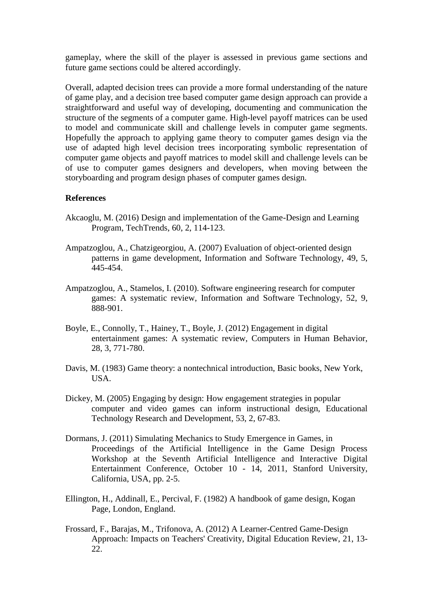gameplay, where the skill of the player is assessed in previous game sections and future game sections could be altered accordingly.

Overall, adapted decision trees can provide a more formal understanding of the nature of game play, and a decision tree based computer game design approach can provide a straightforward and useful way of developing, documenting and communication the structure of the segments of a computer game. High-level payoff matrices can be used to model and communicate skill and challenge levels in computer game segments. Hopefully the approach to applying game theory to computer games design via the use of adapted high level decision trees incorporating symbolic representation of computer game objects and payoff matrices to model skill and challenge levels can be of use to computer games designers and developers, when moving between the storyboarding and program design phases of computer games design.

#### **References**

- Akcaoglu, M. (2016) Design and implementation of the Game-Design and Learning Program, TechTrends, 60, 2, 114-123.
- Ampatzoglou, A., Chatzigeorgiou, A. (2007) Evaluation of object-oriented design patterns in game development, Information and Software Technology, 49, 5, 445-454.
- Ampatzoglou, A., Stamelos, I. (2010). Software engineering research for computer games: A systematic review, Information and Software Technology, 52, 9, 888-901.
- Boyle, E., Connolly, T., Hainey, T., Boyle, J. (2012) Engagement in digital entertainment games: A systematic review, Computers in Human Behavior, 28, 3, 771-780.
- Davis, M. (1983) Game theory: a nontechnical introduction, Basic books, New York, USA.
- Dickey, M. (2005) Engaging by design: How engagement strategies in popular computer and video games can inform instructional design, Educational Technology Research and Development, 53, 2, 67-83.
- Dormans, J. (2011) Simulating Mechanics to Study Emergence in Games, in Proceedings of the Artificial Intelligence in the Game Design Process Workshop at the Seventh Artificial Intelligence and Interactive Digital Entertainment Conference, October 10 - 14, 2011, Stanford University, California, USA, pp. 2-5.
- Ellington, H., Addinall, E., Percival, F. (1982) A handbook of game design, Kogan Page, London, England.
- Frossard, F., Barajas, M., Trifonova, A. (2012) A Learner-Centred Game-Design Approach: Impacts on Teachers' Creativity, Digital Education Review, 21, 13- 22.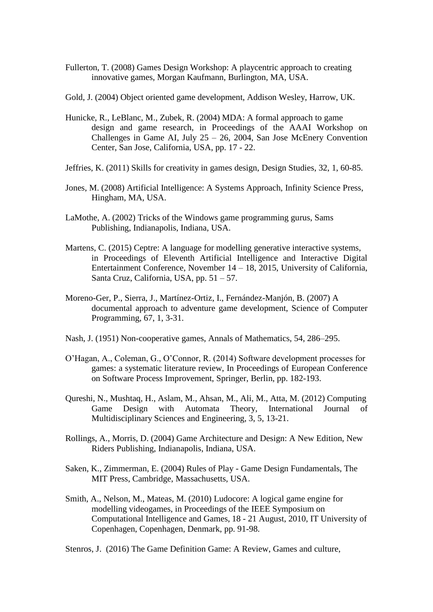- Fullerton, T. (2008) Games Design Workshop: A playcentric approach to creating innovative games, Morgan Kaufmann, Burlington, MA, USA.
- Gold, J. (2004) Object oriented game development, Addison Wesley, Harrow, UK.
- Hunicke, R., LeBlanc, M., Zubek, R. (2004) MDA: A formal approach to game design and game research, in Proceedings of the AAAI Workshop on Challenges in Game AI, July  $25 - 26$ , 2004, San Jose McEnery Convention Center, San Jose, California, USA, pp. 17 - 22.
- Jeffries, K. (2011) Skills for creativity in games design, Design Studies, 32, 1, 60-85.
- Jones, M. (2008) Artificial Intelligence: A Systems Approach, Infinity Science Press, Hingham, MA, USA.
- LaMothe, A. (2002) Tricks of the Windows game programming gurus, Sams Publishing, Indianapolis, Indiana, USA.
- Martens, C. (2015) Ceptre: A language for modelling generative interactive systems, in Proceedings of Eleventh Artificial Intelligence and Interactive Digital Entertainment Conference, November 14 – 18, 2015, University of California, Santa Cruz, California, USA, pp. 51 – 57.
- Moreno-Ger, P., Sierra, J., Martínez-Ortiz, I., Fernández-Manjón, B. (2007) A documental approach to adventure game development, Science of Computer Programming, 67, 1, 3-31.
- Nash, J. (1951) Non-cooperative games, Annals of Mathematics, 54, 286–295.
- O'Hagan, A., Coleman, G., O'Connor, R. (2014) Software development processes for games: a systematic literature review, In Proceedings of European Conference on Software Process Improvement, Springer, Berlin, pp. 182-193.
- Qureshi, N., Mushtaq, H., Aslam, M., Ahsan, M., Ali, M., Atta, M. (2012) Computing Game Design with Automata Theory, International Journal of Multidisciplinary Sciences and Engineering, 3, 5, 13-21.
- Rollings, A., Morris, D. (2004) Game Architecture and Design: A New Edition, New Riders Publishing, Indianapolis, Indiana, USA.
- Saken, K., Zimmerman, E. (2004) Rules of Play Game Design Fundamentals, The MIT Press, Cambridge, Massachusetts, USA.
- Smith, A., Nelson, M., Mateas, M. (2010) Ludocore: A logical game engine for modelling videogames, in Proceedings of the IEEE Symposium on Computational Intelligence and Games, 18 - 21 August, 2010, IT University of Copenhagen, Copenhagen, Denmark, pp. 91-98.

Stenros, J. (2016) The Game Definition Game: A Review, Games and culture,